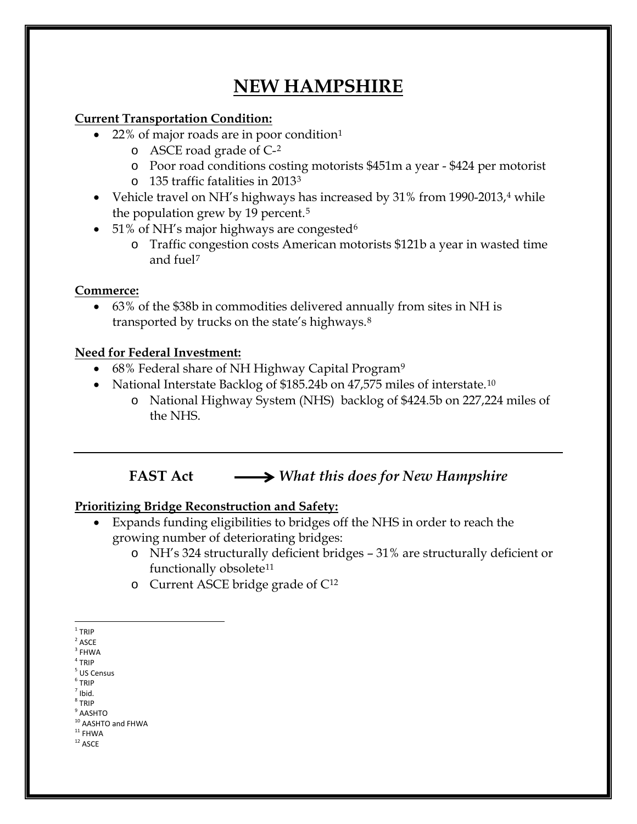# **NEW HAMPSHIRE**

#### **Current Transportation Condition:**

- $22\%$  of major roads are in poor condition<sup>[1](#page-0-0)</sup>
	- o ASCE road grade of C-[2](#page-0-1)
	- o Poor road conditions costing motorists \$451m a year \$424 per motorist
	- o 135 traffic fatalities in 2013[3](#page-0-2)
- Vehicle travel on NH's highways has increased by  $31\%$  from 1990-2013,<sup>[4](#page-0-3)</sup> while the population grew by 19 percent.<sup>[5](#page-0-4)</sup>
- 51% of NH's major highways are congested  $6\overline{ }$  $6\overline{ }$ 
	- o Traffic congestion costs American motorists \$121b a year in wasted time and fuel[7](#page-0-6)

### **Commerce:**

• 63% of the \$38b in commodities delivered annually from sites in NH is transported by trucks on the state's highways.[8](#page-0-7)

### **Need for Federal Investment:**

- 68% Federal share of NH Highway Capital Program<sup>[9](#page-0-8)</sup>
- National Interstate Backlog of \$185.24b on 47,575 miles of interstate.<sup>[10](#page-0-9)</sup>
	- o National Highway System (NHS) backlog of \$424.5b on 227,224 miles of the NHS.

## **FAST Act** *What this does for New Hampshire*

### **Prioritizing Bridge Reconstruction and Safety:**

- Expands funding eligibilities to bridges off the NHS in order to reach the growing number of deteriorating bridges:
	- o NH's 324 structurally deficient bridges 31% are structurally deficient or functionally obsolete<sup>[11](#page-0-10)</sup>
	- o Current ASCE bridge grade of C[12](#page-0-11)

<span id="page-0-2"></span> $^3$  FHWA  $\,$ 

- <span id="page-0-5"></span> $<sup>6</sup>$  TRIP</sup>  $<sup>7</sup>$  Ibid.</sup>
- <span id="page-0-6"></span><sup>8</sup> TRIP
- <span id="page-0-8"></span><span id="page-0-7"></span> $^9$  AASHTO

- <span id="page-0-11"></span><span id="page-0-10"></span><span id="page-0-9"></span> $^{\rm 12}$  ASCE
	-

<span id="page-0-0"></span> $1$  TRIP

<span id="page-0-1"></span> $2$  ASCE

<span id="page-0-3"></span> $4$  TRIP

<span id="page-0-4"></span><sup>5</sup> US Census

 $10$  AASHTO and FHWA<br> $11$  FHWA